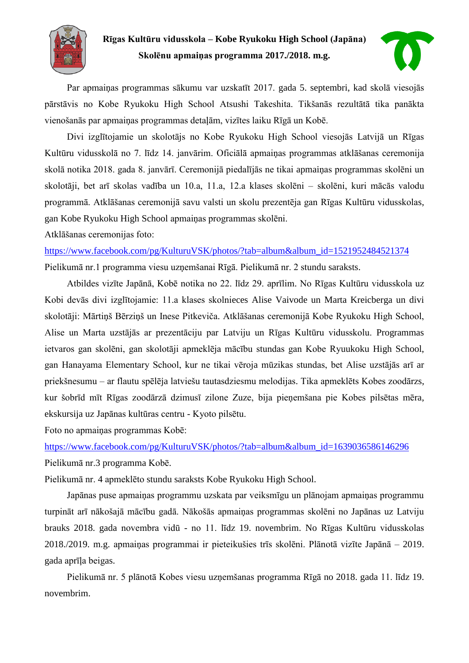

**Rīgas Kultūru vidusskola – Kobe Ryukoku High School (Japāna) Skolēnu apmaiņas programma 2017./2018. m.g.**



Par apmaiņas programmas sākumu var uzskatīt 2017. gada 5. septembri, kad skolā viesojās pārstāvis no Kobe Ryukoku High School Atsushi Takeshita. Tikšanās rezultātā tika panākta vienošanās par apmaiņas programmas detaļām, vizītes laiku Rīgā un Kobē.

Divi izglītojamie un skolotājs no Kobe Ryukoku High School viesojās Latvijā un Rīgas Kultūru vidusskolā no 7. līdz 14. janvārim. Oficiālā apmaiņas programmas atklāšanas ceremonija skolā notika 2018. gada 8. janvārī. Ceremonijā piedalījās ne tikai apmaiņas programmas skolēni un skolotāji, bet arī skolas vadība un 10.a, 11.a, 12.a klases skolēni – skolēni, kuri mācās valodu programmā. Atklāšanas ceremonijā savu valsti un skolu prezentēja gan Rīgas Kultūru vidusskolas, gan Kobe Ryukoku High School apmaiņas programmas skolēni.

Atklāšanas ceremonijas foto:

[https://www.facebook.com/pg/KulturuVSK/photos/?tab=album&album\\_id=1521952484521374](https://www.facebook.com/pg/KulturuVSK/photos/?tab=album&album_id=1521952484521374) Pielikumā nr.1 programma viesu uzņemšanai Rīgā. Pielikumā nr. 2 stundu saraksts.

Atbildes vizīte Japānā, Kobē notika no 22. līdz 29. aprīlim. No Rīgas Kultūru vidusskola uz Kobi devās divi izglītojamie: 11.a klases skolnieces Alise Vaivode un Marta Kreicberga un divi skolotāji: Mārtiņš Bērziņš un Inese Pitkeviča. Atklāšanas ceremonijā Kobe Ryukoku High School, Alise un Marta uzstājās ar prezentāciju par Latviju un Rīgas Kultūru vidusskolu. Programmas ietvaros gan skolēni, gan skolotāji apmeklēja mācību stundas gan Kobe Ryuukoku High School, gan Hanayama Elementary School, kur ne tikai vēroja mūzikas stundas, bet Alise uzstājās arī ar priekšnesumu – ar flautu spēlēja latviešu tautasdziesmu melodijas. Tika apmeklēts Kobes zoodārzs, kur šobrīd mīt Rīgas zoodārzā dzimusī zilone Zuze, bija pieņemšana pie Kobes pilsētas mēra, ekskursija uz Japānas kultūras centru - Kyoto pilsētu.

Foto no apmaiņas programmas Kobē:

[https://www.facebook.com/pg/KulturuVSK/photos/?tab=album&album\\_id=1639036586146296](https://www.facebook.com/pg/KulturuVSK/photos/?tab=album&album_id=1639036586146296) Pielikumā nr.3 programma Kobē.

Pielikumā nr. 4 apmeklēto stundu saraksts Kobe Ryukoku High School.

Japānas puse apmaiņas programmu uzskata par veiksmīgu un plānojam apmaiņas programmu turpināt arī nākošajā mācību gadā. Nākošās apmaiņas programmas skolēni no Japānas uz Latviju brauks 2018. gada novembra vidū - no 11. līdz 19. novembrim. No Rīgas Kultūru vidusskolas 2018./2019. m.g. apmaiņas programmai ir pieteikušies trīs skolēni. Plānotā vizīte Japānā – 2019. gada aprīļa beigas.

Pielikumā nr. 5 plānotā Kobes viesu uzņemšanas programma Rīgā no 2018. gada 11. līdz 19. novembrim.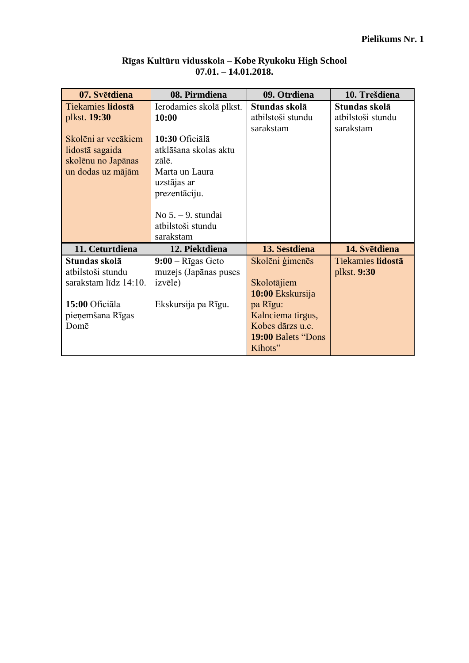| 07. Svētdiena         | 08. Pirmdiena              | 09. Otrdiena       | 10. Trešdiena            |  |
|-----------------------|----------------------------|--------------------|--------------------------|--|
| Tiekamies lidostā     | Ierodamies skolā plkst.    | Stundas skolā      | Stundas skolā            |  |
| plkst. 19:30          | 10:00                      | atbilstoši stundu  | atbilstoši stundu        |  |
|                       |                            | sarakstam          | sarakstam                |  |
| Skolēni ar vecākiem   | 10:30 Oficiālā             |                    |                          |  |
| lidostā sagaida       | atklāšana skolas aktu      |                    |                          |  |
| skolēnu no Japānas    | zālē                       |                    |                          |  |
| un dodas uz mājām     | Marta un Laura             |                    |                          |  |
|                       | uzstājas ar                |                    |                          |  |
|                       | prezentāciju.              |                    |                          |  |
|                       |                            |                    |                          |  |
|                       | $No 5. - 9.$ stundai       |                    |                          |  |
|                       | atbilstoši stundu          |                    |                          |  |
|                       | sarakstam                  |                    |                          |  |
| 11. Ceturtdiena       | 12. Piektdiena             | 13. Sestdiena      | 14. Svētdiena            |  |
| Stundas skolā         | $9:00 - R\bar{1}$ gas Geto | Skolēni ģimenēs    | <b>Tiekamies lidostā</b> |  |
| atbilstoši stundu     | muzejs (Japānas puses      |                    | plkst. 9:30              |  |
| sarakstam līdz 14:10. | <i>izv</i> ēle)            | Skolotājiem        |                          |  |
|                       |                            | 10:00 Ekskursija   |                          |  |
| 15:00 Oficiāla        | Ekskursija pa Rīgu.        | pa Rīgu:           |                          |  |
| pieņemšana Rīgas      |                            | Kalnciema tirgus,  |                          |  |
| Domē                  |                            | Kobes dārzs u.c.   |                          |  |
|                       |                            | 19:00 Balets "Dons |                          |  |
|                       |                            | Kihots"            |                          |  |

### **Rīgas Kultūru vidusskola – Kobe Ryukoku High School 07.01. – 14.01.2018.**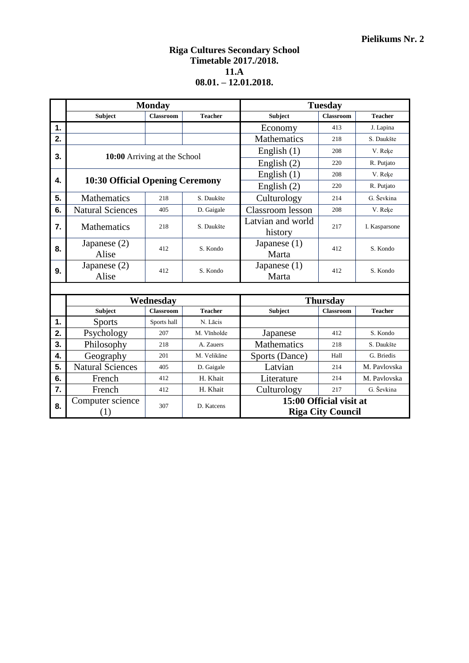#### **Riga Cultures Secondary School Timetable 2017./2018. 11.A 08.01. – 12.01.2018.**

|    | <b>Monday</b><br><b>Tuesday</b>        |                  |                |                              |                   |                |  |
|----|----------------------------------------|------------------|----------------|------------------------------|-------------------|----------------|--|
|    | <b>Subject</b>                         | <b>Classroom</b> | <b>Teacher</b> | <b>Subject</b>               | <b>Classroom</b>  | <b>Teacher</b> |  |
| 1. |                                        |                  |                | Economy                      | 413               | J. Lapina      |  |
| 2. |                                        |                  |                | <b>Mathematics</b>           | 218               | S. Daukšte     |  |
| 3. | 10:00 Arriving at the School           |                  |                | English $(1)$                | 208               | V. Reke        |  |
|    |                                        |                  |                | English $(2)$                | 220<br>R. Putjato |                |  |
| 4. |                                        |                  |                | English $(1)$                | 208               | V. Reke        |  |
|    | <b>10:30 Official Opening Ceremony</b> |                  |                | English $(2)$                | 220               | R. Putjato     |  |
| 5. | <b>Mathematics</b>                     | 218              | S. Daukšte     | Culturology                  | 214               | G. Ševkina     |  |
| 6. | <b>Natural Sciences</b>                | 405              | D. Gaigale     | Classroom lesson             | 208               | V. Reķe        |  |
| 7. | <b>Mathematics</b>                     | 218              | S. Daukšte     | Latvian and world<br>history | 217               | I. Kasparsone  |  |
| 8. | Japanese $(2)$<br>Alise                | 412              | S. Kondo       | Japanese $(1)$<br>Marta      | 412               | S. Kondo       |  |
| 9. | Japanese $(2)$<br>Alise                | 412              | S. Kondo       | Japanese $(1)$<br>Marta      | 412               | S. Kondo       |  |
|    |                                        |                  |                |                              |                   |                |  |
|    | Wednesday                              |                  |                | <b>Thursday</b>              |                   |                |  |
|    | <b>Subject</b>                         | <b>Classroom</b> | <b>Teacher</b> | <b>Subject</b>               | <b>Classroom</b>  | <b>Teacher</b> |  |

|    | 11 CULLCOUU 1           |                  |                | <b>THULDWA</b>     |                          |                |
|----|-------------------------|------------------|----------------|--------------------|--------------------------|----------------|
|    | Subject                 | <b>Classroom</b> | <b>Teacher</b> | Subject            | <b>Classroom</b>         | <b>Teacher</b> |
| 1. | <b>Sports</b>           | Sports hall      | N. Lācis       |                    |                          |                |
| 2. | Psychology              | 207              | M. Vīnholde    | Japanese           | 412                      | S. Kondo       |
| 3. | Philosophy              | 218              | A. Zauers      | <b>Mathematics</b> | 218                      | S. Daukšte     |
| 4. | Geography               | 201              | M. Velikāne    | Sports (Dance)     | Hall                     | G. Briedis     |
| 5. | <b>Natural Sciences</b> | 405              | D. Gaigale     | Latvian            | 214                      | M. Pavlovska   |
| 6. | French                  | 412              | H. Khait       | Literature         | 214                      | M. Pavlovska   |
| 7. | French                  | 412              | H. Khait       | Culturology        | 217                      | G. Ševkina     |
| 8. | Computer science        | 307              | D. Katcens     |                    | 15:00 Official visit at  |                |
|    |                         |                  |                |                    | <b>Riga City Council</b> |                |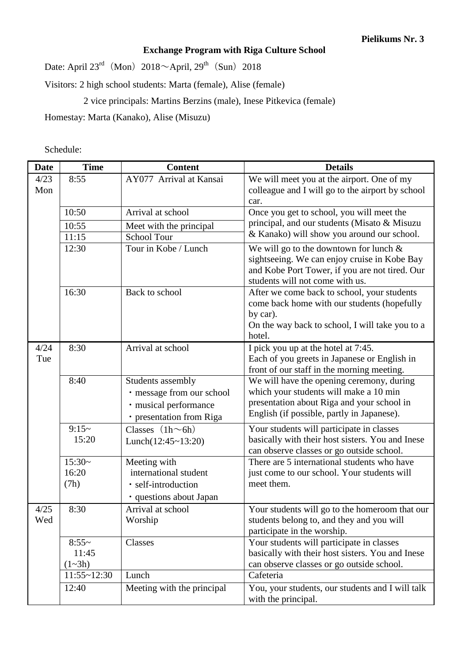## **Exchange Program with Riga Culture School**

Date: April  $23^{\text{rd}}$  (Mon)  $2018 \sim$ April,  $29^{\text{th}}$  (Sun) 2018

Visitors: 2 high school students: Marta (female), Alise (female)

2 vice principals: Martins Berzins (male), Inese Pitkevica (female)

Homestay: Marta (Kanako), Alise (Misuzu)

### Schedule:

| <b>Date</b> | <b>Time</b>                    | <b>Content</b>                                                                                      | <b>Details</b>                                                                                                                                                                  |
|-------------|--------------------------------|-----------------------------------------------------------------------------------------------------|---------------------------------------------------------------------------------------------------------------------------------------------------------------------------------|
| 4/23<br>Mon | 8:55                           | AY077 Arrival at Kansai                                                                             | We will meet you at the airport. One of my<br>colleague and I will go to the airport by school                                                                                  |
|             | 10:50                          | Arrival at school                                                                                   | car.<br>Once you get to school, you will meet the                                                                                                                               |
|             |                                |                                                                                                     | principal, and our students (Misato & Misuzu                                                                                                                                    |
|             | 10:55<br>11:15                 | Meet with the principal<br><b>School Tour</b>                                                       | & Kanako) will show you around our school.                                                                                                                                      |
|             | 12:30                          | Tour in Kobe / Lunch                                                                                | We will go to the downtown for lunch $\&$                                                                                                                                       |
|             |                                |                                                                                                     | sightseeing. We can enjoy cruise in Kobe Bay<br>and Kobe Port Tower, if you are not tired. Our<br>students will not come with us.                                               |
|             | 16:30                          | Back to school                                                                                      | After we come back to school, your students<br>come back home with our students (hopefully<br>by car).<br>On the way back to school, I will take you to a<br>hotel.             |
| 4/24<br>Tue | 8:30                           | Arrival at school                                                                                   | I pick you up at the hotel at 7:45.<br>Each of you greets in Japanese or English in<br>front of our staff in the morning meeting.                                               |
|             | 8:40                           | Students assembly<br>· message from our school<br>· musical performance<br>· presentation from Riga | We will have the opening ceremony, during<br>which your students will make a 10 min<br>presentation about Riga and your school in<br>English (if possible, partly in Japanese). |
|             | $9:15-$<br>15:20               | Classes $(1h \sim 6h)$<br>Lunch $(12:45~13:20)$                                                     | Your students will participate in classes<br>basically with their host sisters. You and Inese<br>can observe classes or go outside school.                                      |
|             | $15:30-$                       | Meeting with                                                                                        | There are 5 international students who have                                                                                                                                     |
|             | 16:20                          | international student                                                                               | just come to our school. Your students will                                                                                                                                     |
|             | (7h)                           | · self-introduction<br>· questions about Japan                                                      | meet them.                                                                                                                                                                      |
| 4/25<br>Wed | 8:30                           | Arrival at school<br>Worship                                                                        | Your students will go to the homeroom that our<br>students belong to, and they and you will<br>participate in the worship.                                                      |
|             | $8:55-$<br>11:45<br>$(1 - 3h)$ | Classes                                                                                             | Your students will participate in classes<br>basically with their host sisters. You and Inese<br>can observe classes or go outside school.                                      |
|             | 11:55~12:30                    | Lunch                                                                                               | Cafeteria                                                                                                                                                                       |
|             | 12:40                          | Meeting with the principal                                                                          | You, your students, our students and I will talk<br>with the principal.                                                                                                         |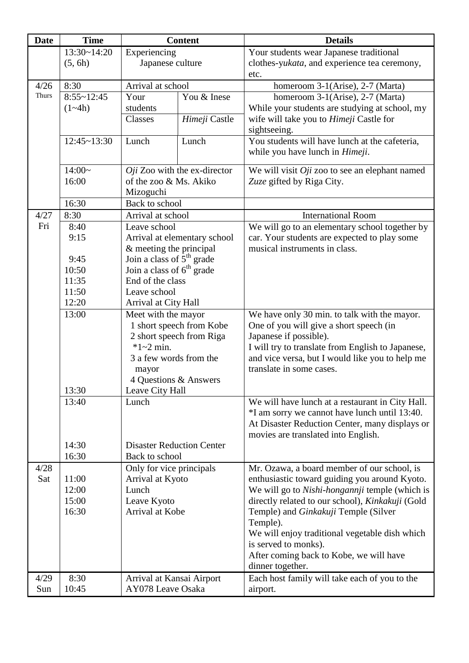| <b>Date</b>  | <b>Time</b>        | <b>Content</b>                          |                                | <b>Details</b>                                    |
|--------------|--------------------|-----------------------------------------|--------------------------------|---------------------------------------------------|
|              | 13:30~14:20        | Experiencing                            |                                | Your students wear Japanese traditional           |
|              | (5, 6h)            | Japanese culture                        |                                | clothes-yukata, and experience tea ceremony,      |
|              |                    |                                         |                                | etc.                                              |
| 4/26         | 8:30               | Arrival at school                       |                                | homeroom 3-1(Arise), 2-7 (Marta)                  |
| <b>Thurs</b> | $8:55 - 12:45$     | Your                                    | You & Inese                    | homeroom 3-1(Arise), 2-7 (Marta)                  |
|              | $(1-4h)$           | students                                |                                | While your students are studying at school, my    |
|              |                    | Classes                                 | Himeji Castle                  | wife will take you to <i>Himeji</i> Castle for    |
|              |                    |                                         |                                | sightseeing.                                      |
|              | $12:45 \sim 13:30$ | Lunch                                   | Lunch                          | You students will have lunch at the cafeteria,    |
|              |                    |                                         |                                | while you have lunch in <i>Himeji</i> .           |
|              | $14:00-$           |                                         | $Oji$ Zoo with the ex-director | We will visit $Oji$ zoo to see an elephant named  |
|              | 16:00              | of the zoo & Ms. Akiko                  |                                | Zuze gifted by Riga City.                         |
|              |                    | Mizoguchi                               |                                |                                                   |
|              | 16:30              | Back to school                          |                                |                                                   |
| 4/27         | 8:30               | Arrival at school                       |                                | <b>International Room</b>                         |
| Fri          | 8:40               | Leave school                            |                                | We will go to an elementary school together by    |
|              | 9:15               |                                         | Arrival at elementary school   | car. Your students are expected to play some      |
|              |                    | & meeting the principal                 |                                | musical instruments in class.                     |
|              | 9:45               | Join a class of $5th$ grade             |                                |                                                   |
|              | 10:50              | Join a class of $6th$ grade             |                                |                                                   |
|              | 11:35              | End of the class                        |                                |                                                   |
|              | 11:50              | Leave school                            |                                |                                                   |
|              | 12:20              | Arrival at City Hall                    |                                |                                                   |
|              | 13:00              | Meet with the mayor                     |                                | We have only 30 min. to talk with the mayor.      |
|              |                    |                                         | 1 short speech from Kobe       | One of you will give a short speech (in           |
|              |                    |                                         | 2 short speech from Riga       | Japanese if possible).                            |
|              |                    | $*1 - 2$ min.                           |                                | I will try to translate from English to Japanese, |
|              |                    | 3 a few words from the                  |                                | and vice versa, but I would like you to help me   |
|              |                    | mayor<br>4 Questions & Answers          |                                | translate in some cases.                          |
|              | 13:30              | Leave City Hall                         |                                |                                                   |
|              | 13:40              | Lunch                                   |                                | We will have lunch at a restaurant in City Hall.  |
|              |                    |                                         |                                | *I am sorry we cannot have lunch until 13:40.     |
|              |                    |                                         |                                | At Disaster Reduction Center, many displays or    |
|              |                    |                                         |                                | movies are translated into English.               |
|              | 14:30              | <b>Disaster Reduction Center</b>        |                                |                                                   |
|              | 16:30              | Back to school                          |                                |                                                   |
| 4/28         |                    | Only for vice principals                |                                | Mr. Ozawa, a board member of our school, is       |
| Sat          | 11:00              | Arrival at Kyoto                        |                                | enthusiastic toward guiding you around Kyoto.     |
|              | 12:00              | Lunch<br>Leave Kyoto<br>Arrival at Kobe |                                | We will go to Nishi-hongannji temple (which is    |
|              | 15:00              |                                         |                                | directly related to our school), Kinkakuji (Gold  |
|              | 16:30              |                                         |                                | Temple) and Ginkakuji Temple (Silver              |
|              |                    |                                         |                                | Temple).                                          |
|              |                    |                                         |                                | We will enjoy traditional vegetable dish which    |
|              |                    |                                         |                                | is served to monks).                              |
|              |                    |                                         |                                | After coming back to Kobe, we will have           |
|              |                    |                                         |                                | dinner together.                                  |
| 4/29         | 8:30               | Arrival at Kansai Airport               |                                | Each host family will take each of you to the     |
| Sun          | 10:45              | AY078 Leave Osaka                       |                                | airport.                                          |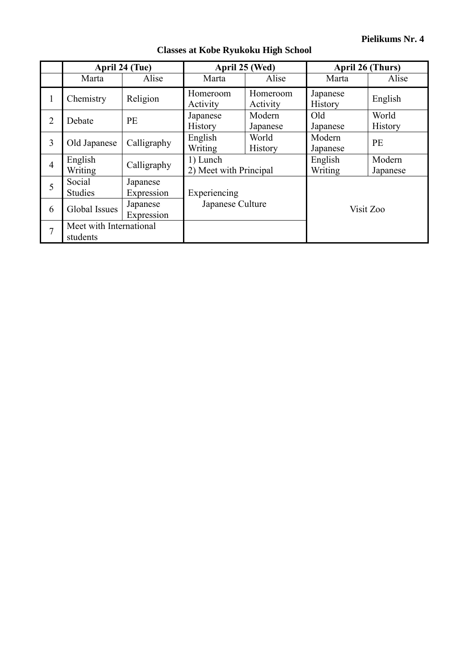|                | April 24 (Tue)                      |                        | April 25 (Wed)                                |                         | April 26 (Thurs)           |                         |
|----------------|-------------------------------------|------------------------|-----------------------------------------------|-------------------------|----------------------------|-------------------------|
|                | Marta                               | Alise                  | Marta                                         | Alise                   | Marta                      | Alise                   |
| 1              | Chemistry                           | Religion               | Homeroom<br>Activity                          | Homeroom<br>Activity    | Japanese<br><b>History</b> | English                 |
| $\overline{2}$ | Debate                              | PE                     | Japanese<br><b>History</b>                    | Modern<br>Japanese      | Old<br>Japanese            | World<br><b>History</b> |
| 3              | Old Japanese                        | Calligraphy            | English<br>Writing                            | World<br><b>History</b> | Modern<br>Japanese         | <b>PE</b>               |
| $\overline{4}$ | English<br>Writing                  | Calligraphy            | 1) Lunch<br>2) Meet with Principal            |                         | English<br>Writing         | Modern<br>Japanese      |
| 5              | Social<br><b>Studies</b>            | Japanese<br>Expression | Experiencing<br>Japanese Culture<br>Visit Zoo |                         |                            |                         |
| 6              | Global Issues                       | Japanese<br>Expression |                                               |                         |                            |                         |
| 7              | Meet with International<br>students |                        |                                               |                         |                            |                         |

# **Classes at Kobe Ryukoku High School**